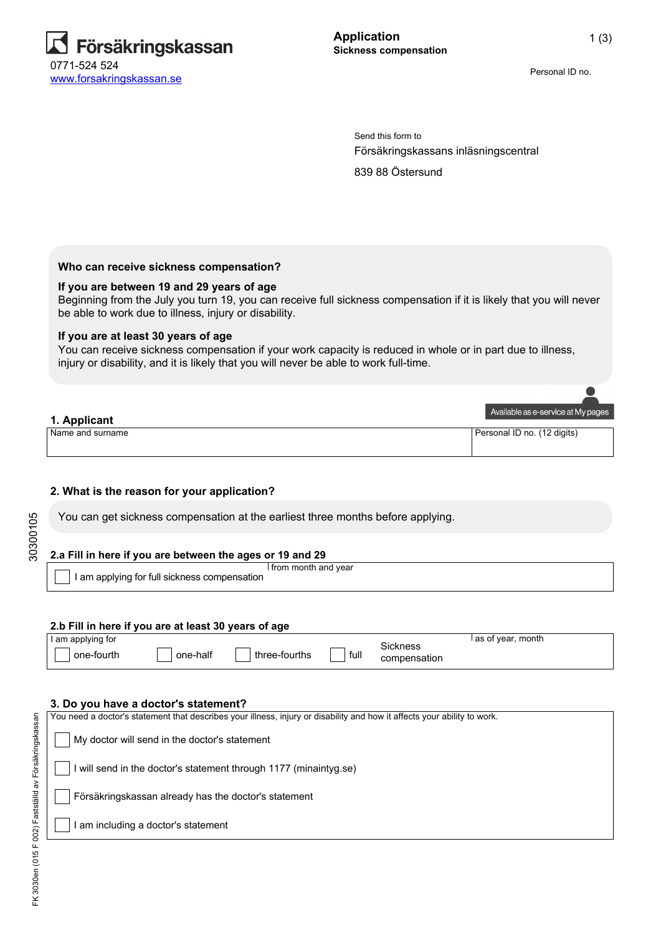

Personal ID no.

Försäkringskassans inläsningscentral Send this form to

839 88 Östersund

## **Who can receive sickness compensation?**

#### **If you are between 19 and 29 years of age**

Beginning from the July you turn 19, you can receive full sickness compensation if it is likely that you will never be able to work due to illness, injury or disability.

#### **If you are at least 30 years of age**

You can receive sickness compensation if your work capacity is reduced in whole or in part due to illness, injury or disability, and it is likely that you will never be able to work full-time.

| 1. Applicant     | Available as e-service at My pages |
|------------------|------------------------------------|
| Name and surname | Personal ID no. (12 digits)        |

## **2. What is the reason for your application?**

You can get sickness compensation at the earliest three months before applying.

## **2.a Fill in here if you are between the ages or 19 and 29**

I am applying for full sickness compensation I from month and year

#### **2.b Fill in here if you are at least 30 years of age**

| I am applying for |          |               |      |                          | month<br>as of year, |
|-------------------|----------|---------------|------|--------------------------|----------------------|
| one-fourth        | one-half | three-fourths | tull | Sickness<br>compensation |                      |

#### **3. Do you have a doctor's statement?**

| am including a doctor's statement                                                                                        |
|--------------------------------------------------------------------------------------------------------------------------|
| Försäkringskassan already has the doctor's statement                                                                     |
| will send in the doctor's statement through 1177 (minaintyg.se)                                                          |
| My doctor will send in the doctor's statement                                                                            |
| You need a doctor's statement that describes your illness, injury or disability and how it affects your ability to work. |

30300105

30300105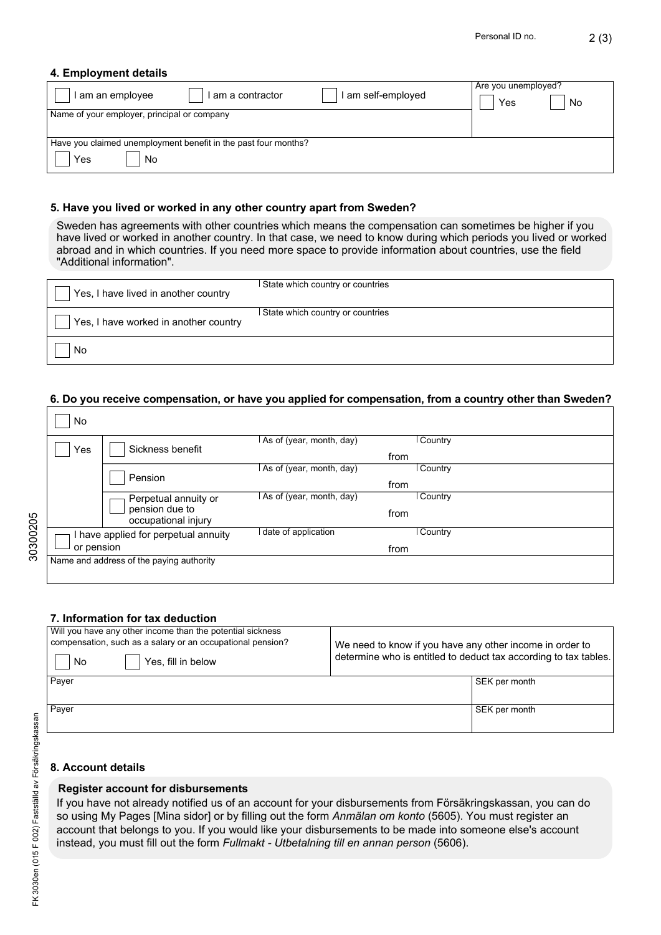## **4. Employment details**

| I am self-employed<br>I am a contractor<br>am an employee      | Are you unemployed?<br>No<br>Yes |
|----------------------------------------------------------------|----------------------------------|
| Name of your employer, principal or company                    |                                  |
|                                                                |                                  |
| Have you claimed unemployment benefit in the past four months? |                                  |
| Yes<br>No.                                                     |                                  |

## **5. Have you lived or worked in any other country apart from Sweden?**

Sweden has agreements with other countries which means the compensation can sometimes be higher if you have lived or worked in another country. In that case, we need to know during which periods you lived or worked abroad and in which countries. If you need more space to provide information about countries, use the field "Additional information".

| Yes, I have lived in another country  | I State which country or countries |
|---------------------------------------|------------------------------------|
| Yes, I have worked in another country | State which country or countries   |
| No                                    |                                    |

#### **6. Do you receive compensation, or have you applied for compensation, from a country other than Sweden?**

| No         |                                                               |                          |      |                |
|------------|---------------------------------------------------------------|--------------------------|------|----------------|
| Yes        | Sickness benefit                                              | As of (year, month, day) | from | Country        |
|            | Pension                                                       | As of (year, month, day) | from | Country        |
|            | Perpetual annuity or<br>pension due to<br>occupational injury | As of (year, month, day) | from | <b>Country</b> |
| or pension | I have applied for perpetual annuity                          | date of application      | from | Country        |
|            | Name and address of the paying authority                      |                          |      |                |

## **7. Information for tax deduction**

| Will you have any other income than the potential sickness<br>compensation, such as a salary or an occupational pension?<br>Yes, fill in below<br>No | We need to know if you have any other income in order to<br>determine who is entitled to deduct tax according to tax tables. |
|------------------------------------------------------------------------------------------------------------------------------------------------------|------------------------------------------------------------------------------------------------------------------------------|
| Payer                                                                                                                                                | SEK per month                                                                                                                |
| Payer                                                                                                                                                | SEK per month                                                                                                                |

## **8. Account details**

#### **Register account for disbursements**

If you have not already notified us of an account for your disbursements from Försäkringskassan, you can do so using My Pages [Mina sidor] or by filling out the form *Anmälan om konto* (5605). You must register an account that belongs to you. If you would like your disbursements to be made into someone else's account instead, you must fill out the form *Fullmakt - Utbetalning till en annan person* (5606).

30300205

30300205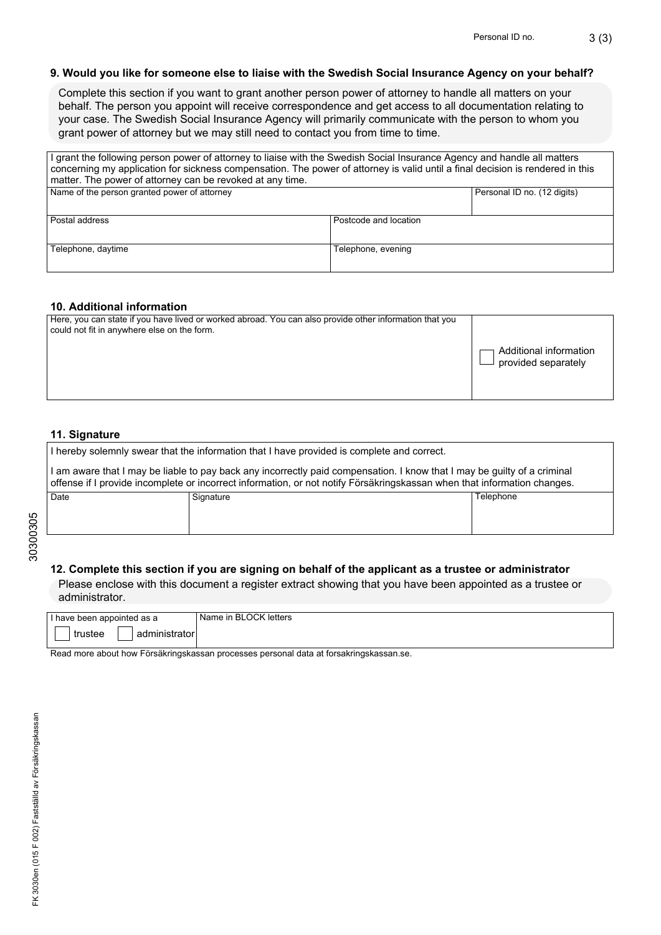## **9. Would you like for someone else to liaise with the Swedish Social Insurance Agency on your behalf?**

Complete this section if you want to grant another person power of attorney to handle all matters on your behalf. The person you appoint will receive correspondence and get access to all documentation relating to your case. The Swedish Social Insurance Agency will primarily communicate with the person to whom you grant power of attorney but we may still need to contact you from time to time.

| I grant the following person power of attorney to liaise with the Swedish Social Insurance Agency and handle all matters<br>concerning my application for sickness compensation. The power of attorney is valid until a final decision is rendered in this<br>matter. The power of attorney can be revoked at any time. |                       |  |
|-------------------------------------------------------------------------------------------------------------------------------------------------------------------------------------------------------------------------------------------------------------------------------------------------------------------------|-----------------------|--|
| Name of the person granted power of attorney<br>Personal ID no. (12 digits)                                                                                                                                                                                                                                             |                       |  |
| Postal address                                                                                                                                                                                                                                                                                                          | Postcode and location |  |
| Telephone, daytime<br>Telephone, evening                                                                                                                                                                                                                                                                                |                       |  |

## **10. Additional information**

| Here, you can state if you have lived or worked abroad. You can also provide other information that you<br>could not fit in anywhere else on the form. | Additional information<br>provided separately |
|--------------------------------------------------------------------------------------------------------------------------------------------------------|-----------------------------------------------|
|                                                                                                                                                        |                                               |

# **11. Signature**

| I hereby solemnly swear that the information that I have provided is complete and correct.                                                                                                                                                           |           |           |
|------------------------------------------------------------------------------------------------------------------------------------------------------------------------------------------------------------------------------------------------------|-----------|-----------|
| I am aware that I may be liable to pay back any incorrectly paid compensation. I know that I may be guilty of a criminal<br>offense if I provide incomplete or incorrect information, or not notify Försäkringskassan when that information changes. |           |           |
| Date                                                                                                                                                                                                                                                 | Signature | Telephone |
|                                                                                                                                                                                                                                                      |           |           |
|                                                                                                                                                                                                                                                      |           |           |

## **12. Complete this section if you are signing on behalf of the applicant as a trustee or administrator**

Please enclose with this document a register extract showing that you have been appointed as a trustee or administrator.

| I have been appointed as a | Name in BLOCK letters |
|----------------------------|-----------------------|
|                            |                       |
|                            |                       |
| trustee<br>mınıstrator     |                       |
|                            |                       |

Read more about how Försäkringskassan processes personal data at forsakringskassan.se.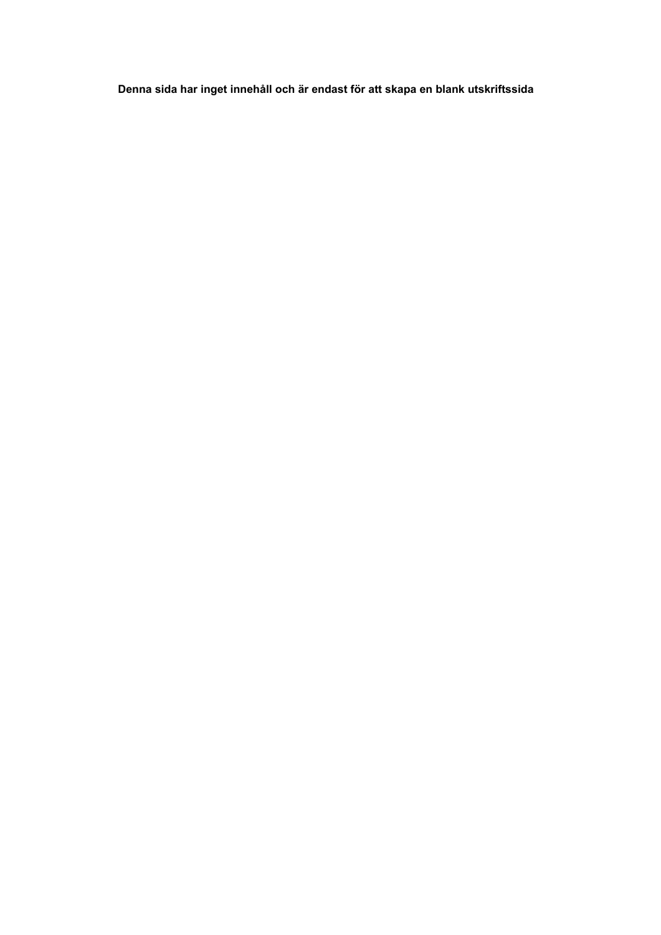**Denna sida har inget innehåll och är endast för att skapa en blank utskriftssida**